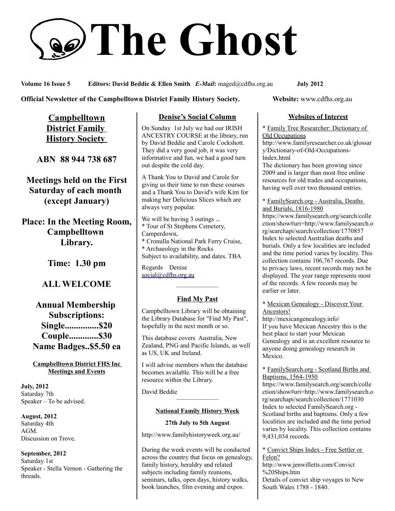# **The Ghost**

**Volume 16 Issue 5 Editors: David Beddie & Ellen Smith** *E-Mail***:** maged@cdfhs.org.au **July 2012**

**Official Newsletter of the Campbelltown District Family History Society. Website: www.cdfhs.org.au** 

**Campbelltown District Family History Society** 

**ABN 88 944 738 687**

**Meetings held on the First Saturday of each month (except January)**

**Place: In the Meeting Room, Campbelltown Library.**

**Time: 1.30 pm**

# **ALL WELCOME**

**Annual Membership Subscriptions: Single...............\$20 Couple.............\$30 Name Badges..\$5.50 ea**

**Campbelltown District FHS Inc Meetings and Events**

**July, 2012** Saturday 7th Speaker – To be advised.

**August, 2012** Saturday 4th AGM. Discussion on Trove.

**September, 2012** Saturday 1st Speaker - Stella Vernon - Gathering the threads.

## **Denise's Social Column**

On Sunday 1st July we had our IRISH ANCESTRY COURSE at the library, run by David Beddie and Carole Cockshott. They did a very good job, it was very informative and fun, we had a good turn out despite the cold day.

A Thank You to David and Carole for giving us their time to run these courses and a Thank You to David's wife Kim for making her Delicious Slices which are always very popular.

We will be having 3 outings ... \* Tour of St Stephens Cemetery, Camperdown, \* Cronulla National Park Ferry Cruise, \* Archaeology in the Rocks Subject to availability, and dates. TBA

Regards Denise [social@cdfhs.org.au](mailto:social@cdfhs.org.au)

# ——————– **Find My Past**

Campbelltown Library will be obtaining the Library Database for "Find My Past", hopefully in the next month or so.

This database covers Australia, New Zealand, PNG and Pacific Islands, as well as US, UK and Ireland.

I will advise members when the database becomes available. This will be a free resource within the Library.

David Beddie

## ——————– **National Family History Week**

**27th July to 5th August**

http://www.familyhistoryweek.org.au/

During the week events will be conducted across the country that focus on genealogy, family history, heraldry and related subjects including family reunions, seminars, talks, open days, history walks, book launches, film evening and expos.

## **Websites of Interest**

\* Family Tree Researcher: Dictionary of Old Occupations

http://www.familyresearcher.co.uk/glossar y/Dictionary-of-Old-Occupations-Index.html

The dictionary has been growing since 2009 and is larger than most free online resources for old trades and occupations, having well over two thousand entries.

#### \* FamilySearch.org - Australia, Deaths and Burials, 1816-1980

https://www.familysearch.org/search/colle ction/show#uri=http://www.familysearch.o rg/searchapi/search/collection/1770857 Index to selected Australian deaths and burials. Only a few localities are included and the time period varies by locality. This collection contains 106,767 records. Due to privacy laws, recent records may not be displayed. The year range represents most of the records. A few records may be earlier or later.

#### \* Mexican Genealogy - Discover Your Ancestors!

http://mexicangenealogy.info/ If you have Mexican Ancestry this is the best place to start your Mexican Genealogy and is an excellent resource to anyone doing genealogy research in Mexico.

#### \* FamilySearch.org - Scotland Births and Baptisms, 1564-1950

https://www.familysearch.org/search/colle ction/show#uri=http://www.familysearch.o rg/searchapi/search/collection/1771030 Index to selected FamilySearch.org - Scotland births and baptisms. Only a few localities are included and the time period varies by locality. This collection contains 9,431,034 records.

\* Convict Ships Index - Free Settler or Felon?

http://www.jenwilletts.com/Convict %20Ships.htm Details of convict ship voyages to New

South Wales 1788 - 1840.